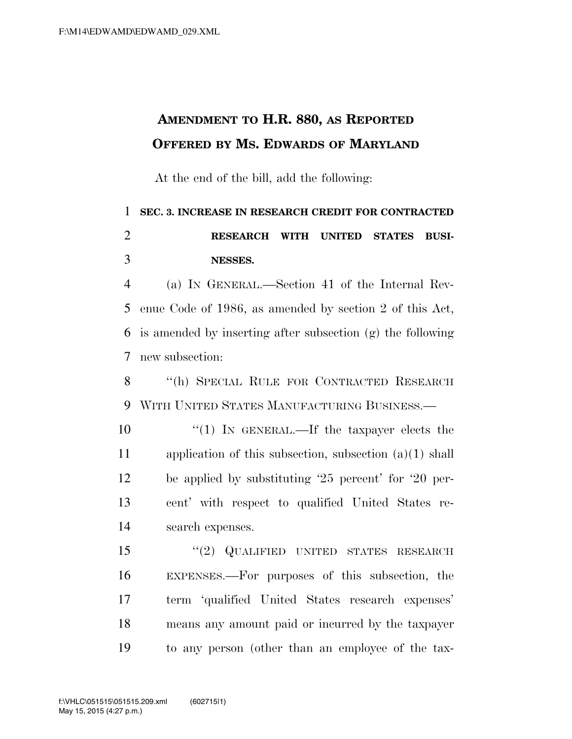## **AMENDMENT TO H.R. 880, AS REPORTED OFFERED BY MS. EDWARDS OF MARYLAND**

At the end of the bill, add the following:

## **SEC. 3. INCREASE IN RESEARCH CREDIT FOR CONTRACTED RESEARCH WITH UNITED STATES BUSI-NESSES.**

 (a) IN GENERAL.—Section 41 of the Internal Rev- enue Code of 1986, as amended by section 2 of this Act, is amended by inserting after subsection (g) the following new subsection:

 ''(h) SPECIAL RULE FOR CONTRACTED RESEARCH WITH UNITED STATES MANUFACTURING BUSINESS.—

 ''(1) IN GENERAL.—If the taxpayer elects the application of this subsection, subsection (a)(1) shall be applied by substituting '25 percent' for '20 per- cent' with respect to qualified United States re-search expenses.

 ''(2) QUALIFIED UNITED STATES RESEARCH EXPENSES.—For purposes of this subsection, the term 'qualified United States research expenses' means any amount paid or incurred by the taxpayer to any person (other than an employee of the tax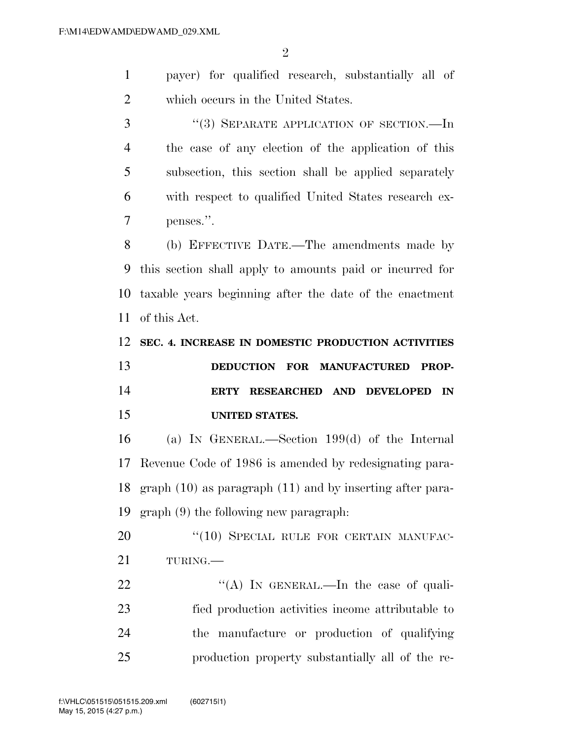| payer) for qualified research, substantially all of |
|-----------------------------------------------------|
| which occurs in the United States.                  |

3 "(3) SEPARATE APPLICATION OF SECTION.—In the case of any election of the application of this subsection, this section shall be applied separately with respect to qualified United States research ex-penses.''.

 (b) EFFECTIVE DATE.—The amendments made by this section shall apply to amounts paid or incurred for taxable years beginning after the date of the enactment of this Act.

 **SEC. 4. INCREASE IN DOMESTIC PRODUCTION ACTIVITIES DEDUCTION FOR MANUFACTURED PROP- ERTY RESEARCHED AND DEVELOPED IN UNITED STATES.** 

 (a) IN GENERAL.—Section 199(d) of the Internal Revenue Code of 1986 is amended by redesignating para- graph (10) as paragraph (11) and by inserting after para-graph (9) the following new paragraph:

20 "(10) SPECIAL RULE FOR CERTAIN MANUFAC-TURING.—

22 "(A) In GENERAL.—In the case of quali- fied production activities income attributable to the manufacture or production of qualifying production property substantially all of the re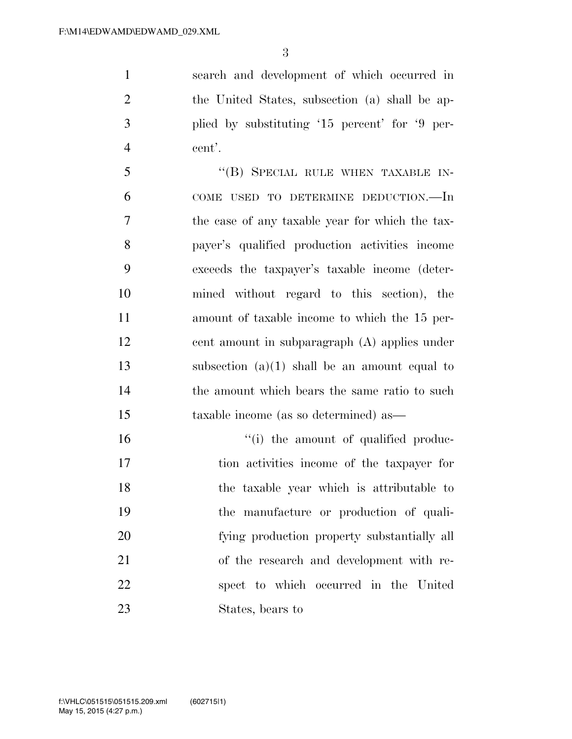search and development of which occurred in the United States, subsection (a) shall be ap- plied by substituting '15 percent' for '9 per-cent'.

5 "(B) SPECIAL RULE WHEN TAXABLE IN- COME USED TO DETERMINE DEDUCTION.—In the case of any taxable year for which the tax- payer's qualified production activities income exceeds the taxpayer's taxable income (deter- mined without regard to this section), the amount of taxable income to which the 15 per- cent amount in subparagraph (A) applies under 13 subsection  $(a)(1)$  shall be an amount equal to the amount which bears the same ratio to such taxable income (as so determined) as—

 $\frac{1}{10}$  the amount of qualified produc- tion activities income of the taxpayer for the taxable year which is attributable to the manufacture or production of quali- fying production property substantially all of the research and development with re- spect to which occurred in the United States, bears to